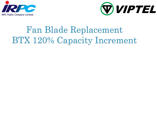



# Fan Blade Replacement BTX 120% Capacity Increment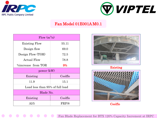



#### Fan Model 01E001A M0.1

| $Flow (m^3/s)$                  |          |  |
|---------------------------------|----------|--|
| <b>Existing Flow</b>            | 55.11    |  |
| Design flow                     | 69.0     |  |
| Design Flow (TOR)               | $72.5\,$ |  |
| <b>Actual Flow</b>              | 78.8     |  |
| <i>V</i> oincrease from TOR     | 9%       |  |
| power (kW)                      |          |  |
| Existing                        | Coolflo  |  |
| 11.9                            | 15.1     |  |
| Load less than 95% of full load |          |  |
| Blade No.                       |          |  |
| Existing                        | Coolflo  |  |
| Al/5                            | FRP/8    |  |





Coolflo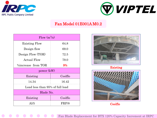



#### Fan Model 01E001A M0.2

| Flow $(m^3/s)$                  |         |  |
|---------------------------------|---------|--|
| <b>Existing Flow</b>            | 64.8    |  |
| Design flow                     | 69.0    |  |
| Design Flow (TOR)               | 72.5    |  |
| <b>Actual Flow</b>              | 79.0    |  |
| <i>V</i> oincrease from TOR     | 9%      |  |
| power (kW)                      |         |  |
| Existing                        | Coolflo |  |
| 14.34                           | 16.42   |  |
| Load less than 95% of full load |         |  |
| Blade No.                       |         |  |
| Existing                        | Coolflo |  |
| Al/5                            | FRP/8   |  |



Coolflo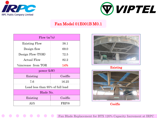



## Fan Model 01E001B M0.1

| Flow $(m^3/s)$                  |         |  |
|---------------------------------|---------|--|
| <b>Existing Flow</b>            | 38.1    |  |
| Design flow                     | 69.0    |  |
| Design Flow (TOR)               | 72.5    |  |
| <b>Actual Flow</b>              | 82.2    |  |
| <i>V</i> oincrease from TOR     | 14%     |  |
| power (kW)                      |         |  |
| Existing                        | Coolflo |  |
| 7.6                             | 16.25   |  |
| Load less than 95% of full load |         |  |
| Blade No.                       |         |  |
| Existing                        | Coolflo |  |
| Al/5                            | FRP/8   |  |



Existing



Coolflo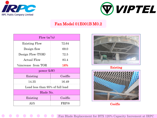



# Fan Model 01E001B M0.2

| Flow $(m^3/s)$                  |         |  |
|---------------------------------|---------|--|
| <b>Existing Flow</b>            | 72.64   |  |
| Design flow                     | 69.0    |  |
| Design Flow (TOR)               | 72.5    |  |
| Actual Flow                     | 83.4    |  |
| <i>V</i> oincrease from TOR     | 16%     |  |
| power (kW)                      |         |  |
| Existing                        | Coolflo |  |
| 14.35                           | 16.49   |  |
| Load less than 95% of full load |         |  |
| Blade No.                       |         |  |
| Existing                        | Coolflo |  |
| Al/5                            | FRP/8   |  |





Coolflo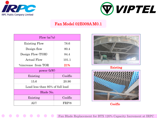



## Fan Model 02E009A M0.1

| Flow $(m^3/s)$                  |         |  |
|---------------------------------|---------|--|
| <b>Existing Flow</b>            | 78.6    |  |
| Design flow                     | 80.4    |  |
| Design Flow (TOR)               | 84.4    |  |
| <b>Actual Flow</b>              | 101.1   |  |
| <i>V</i> oincrease from TOR     | 21%     |  |
| power (kW)                      |         |  |
| Existing                        | Coolflo |  |
| 15.6                            | 20.90   |  |
| Load less than 95% of full load |         |  |
| Blade No.                       |         |  |
| Existing                        | Coolflo |  |
| A1/7                            | FRP/8   |  |





Coolflo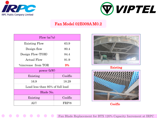



#### Fan Model 02E009A M0.2

| Flow $(m^3/s)$                  |         |  |
|---------------------------------|---------|--|
| <b>Existing Flow</b>            | 63.9    |  |
| Design flow                     | 80.4    |  |
| Design Flow (TOR)               | 84.4    |  |
| <b>Actual Flow</b>              | 91.9    |  |
| <i>V</i> oincrease from TOR     | 9%      |  |
| power (kW)                      |         |  |
| Existing                        | Coolflo |  |
| 16.9                            | 18.29   |  |
| Load less than 95% of full load |         |  |
| Blade No.                       |         |  |
| Existing                        | Coolflo |  |
| A1/7                            | FRP/8   |  |





Coolflo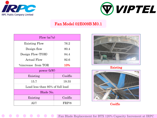



## Fan Model 02E009B M0.1

| Flow $(m^3/s)$                  |         |  |
|---------------------------------|---------|--|
| <b>Existing Flow</b>            | 76.2    |  |
| Design flow                     | 80.4    |  |
| Design Flow (TOR)               | 84.4    |  |
| <b>Actual Flow</b>              | 92.6    |  |
| <i>V</i> oincrease from TOR     | 10%     |  |
| power (kW)                      |         |  |
| Existing                        | Coolflo |  |
| 15.7                            | 19.55   |  |
| Load less than 95% of full load |         |  |
| Blade No.                       |         |  |
| Existing                        | Coolflo |  |
| A1/7                            | FRP/8   |  |



Existing



Coolflo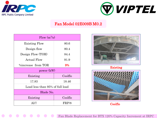



## Fan Model 02E009B M0.2

| Flow $(m^3/s)$                  |         |  |
|---------------------------------|---------|--|
| <b>Existing Flow</b>            | 80.6    |  |
| Design flow                     | 80.4    |  |
| Design Flow (TOR)               | 84.4    |  |
| <b>Actual Flow</b>              | 91.9    |  |
| <i>V</i> oincrease from TOR     | 9%      |  |
| power (kW)                      |         |  |
| Existing                        | Coolflo |  |
| 17.83                           | 18.46   |  |
| Load less than 95% of full load |         |  |
| Blade No.                       |         |  |
| Existing                        | Coolflo |  |
| A1/7                            | FRP/8   |  |





Coolflo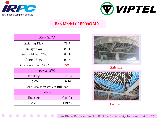



## Fan Model 02E009C M0.1

| Flow $(m^3/s)$                  |         |  |
|---------------------------------|---------|--|
| <b>Existing Flow</b>            | 76.7    |  |
| Design flow                     | 80.4    |  |
| Design Flow (TOR)               | 84.4    |  |
| <b>Actual Flow</b>              | 91.8    |  |
| <i>V</i> oincrease from TOR     | 9%      |  |
| power (kW)                      |         |  |
| Existing                        | Coolflo |  |
| 15.00                           | 19.10   |  |
| Load less than 95% of full load |         |  |
| Blade No.                       |         |  |
| Existing                        | Coolflo |  |
| A1/7                            | FRP/8   |  |





Coolflo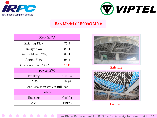



# Fan Model 02E009C M0.2

| Flow $(m^3/s)$                  |         |  |
|---------------------------------|---------|--|
| <b>Existing Flow</b>            | 75.9    |  |
| Design flow                     | 80.4    |  |
| Design Flow (TOR)               | 84.4    |  |
| <b>Actual Flow</b>              | 95.2    |  |
| <i>V</i> oincrease from TOR     | 13%     |  |
| power (kW)                      |         |  |
| Existing                        | Coolflo |  |
| 17.93                           | 18.89   |  |
| Load less than 95% of full load |         |  |
| Blade No.                       |         |  |
| Existing                        | Coolflo |  |
| A1/7                            | FRP/8   |  |





Coolflo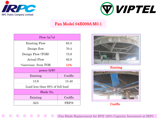



## Fan Model 04E009A M0.1

| Flow $(m^3/s)$                  |            |  |
|---------------------------------|------------|--|
| <b>Existing Flow</b>            | 65.5       |  |
| Design flow                     | 70.4       |  |
| Design Flow (TOR)               | 73.9       |  |
| <b>Actual Flow</b>              | 82.0       |  |
| <i>V</i> oincrease from TOR     | <b>11%</b> |  |
| power (kW)                      |            |  |
| Existing                        | Coolflo    |  |
| 13.9                            | 15.40      |  |
| Load less than 95% of full load |            |  |
| Blade No.                       |            |  |
| Existing                        | Coolflo    |  |
| Al/5                            | FRP/8      |  |



Existing



Coolflo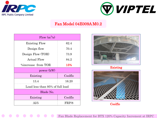



#### Fan Model 04E009A M0.2

| Flow $(m^3/s)$                  |         |  |
|---------------------------------|---------|--|
| <b>Existing Flow</b>            | 62.4    |  |
| Design flow                     | 70.4    |  |
| Design Flow (TOR)               | 73.9    |  |
| <b>Actual Flow</b>              | 84.2    |  |
| <i>V</i> oincrease from TOR     | 15%     |  |
| power (kW)                      |         |  |
| Existing                        | Coolflo |  |
| 13.4                            | 16.20   |  |
| Load less than 95% of full load |         |  |
| Blade No.                       |         |  |
| Existing                        | Coolflo |  |
| Al/5                            | FRP/8   |  |



Existing



Coolflo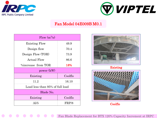



# Fan Model 04E009B M0.1

| Flow $(m^3/s)$                  |         |
|---------------------------------|---------|
| <b>Existing Flow</b>            | 49.9    |
| Design flow                     | 70.4    |
| Design Flow (TOR)               | 73.9    |
| <b>Actual Flow</b>              | 86.6    |
| <i>V</i> oincrease from TOR     | 18%     |
| power (kW)                      |         |
| Existing                        | Coolflo |
| 11.2                            | 16.10   |
| Load less than 95% of full load |         |
| Blade No.                       |         |
| Existing                        | Coolflo |
| Al/5                            | FRP/8   |





Coolflo